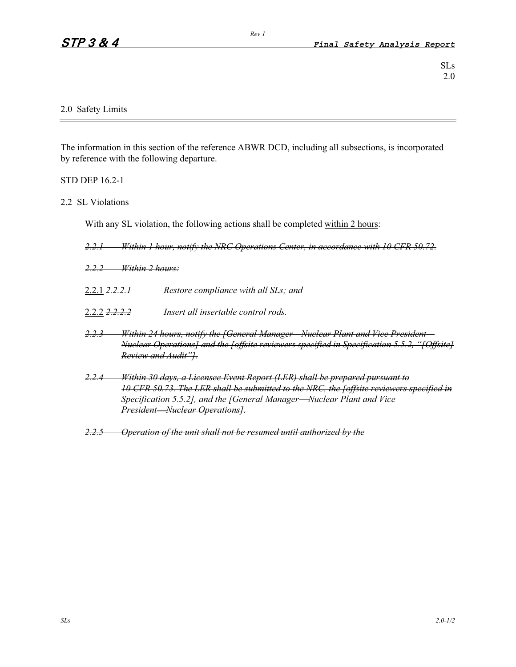# 2.0 Safety Limits

The information in this section of the reference ABWR DCD, including all subsections, is incorporated by reference with the following departure.

*Rev 1* 

# STD DEP 16.2-1

## 2.2 SL Violations

With any SL violation, the following actions shall be completed within 2 hours:

*2.2.1 Within 1 hour, notify the NRC Operations Center, in accordance with 10 CFR 50.72.*

- *2.2.2 Within 2 hours:*
- 2.2.1 *2.2.2.1 Restore compliance with all SLs; and*
- 2.2.2 *2.2.2.2 Insert all insertable control rods.*
- *2.2.3 Within 24 hours, notify the [General Manager—Nuclear Plant and Vice President— Nuclear Operations] and the [offsite reviewers specified in Specification 5.5.2, "[Offsite] Review and Audit"].*
- *2.2.4 Within 30 days, a Licensee Event Report (LER) shall be prepared pursuant to 10 CFR 50.73. The LER shall be submitted to the NRC, the [offsite reviewers specified in Specification 5.5.2], and the [General Manager*-*Nuclear Plant and Vice President*-*Nuclear Operations].*
- *2.2.5 Operation of the unit shall not be resumed until authorized by the*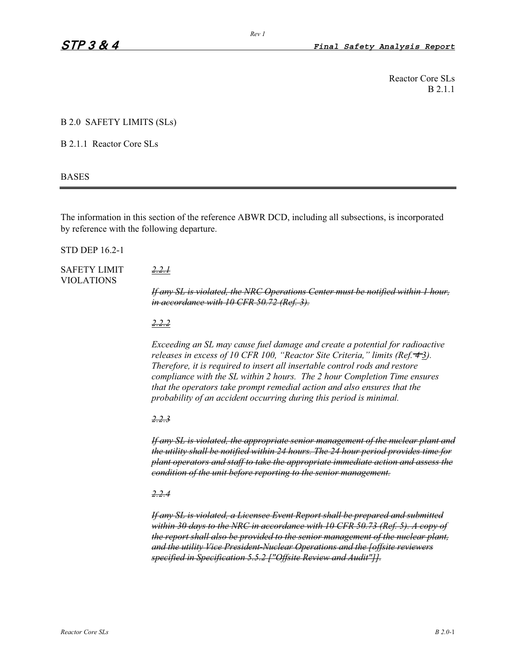Reactor Core SLs B 2.1.1

#### B 2.0 SAFETY LIMITS (SLs)

B 2.1.1 Reactor Core SLs

#### BASES

The information in this section of the reference ABWR DCD, including all subsections, is incorporated by reference with the following departure.

STD DEP 16.2-1

# SAFETY LIMIT *2.2.1* VIOLATIONS

*If any SL is violated, the NRC Operations Center must be notified within 1 hour, in accordance with 10 CFR 50.72 (Ref. 3).*

## *2.2.2*

*Exceeding an SL may cause fuel damage and create a potential for radioactive releases in excess of 10 CFR 100, "Reactor Site Criteria," limits (Ref. 4 3). Therefore, it is required to insert all insertable control rods and restore compliance with the SL within 2 hours. The 2 hour Completion Time ensures that the operators take prompt remedial action and also ensures that the probability of an accident occurring during this period is minimal.* 

# *2.2.3*

*If any SL is violated, the appropriate senior management of the nuclear plant and the utility shall be notified within 24 hours. The 24 hour period provides time for plant operators and staff to take the appropriate immediate action and assess the condition of the unit before reporting to the senior management.*

# *2.2.4*

*If any SL is violated, a Licensee Event Report shall be prepared and submitted within 30 days to the NRC in accordance with 10 CFR 50.73 (Ref. 5). A copy of the report shall also be provided to the senior management of the nuclear plant, and the utility Vice President-Nuclear Operations and the [offsite reviewers specified in Specification 5.5.2 ["Offsite Review and Audit"]].*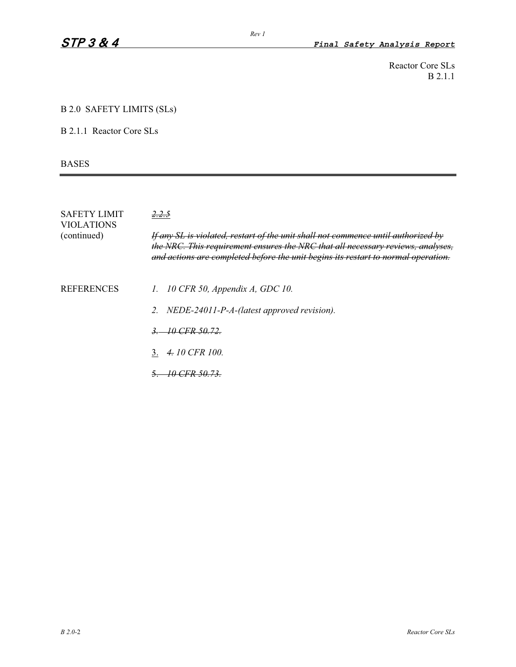Reactor Core SLs B 2.1.1

## B 2.0 SAFETY LIMITS (SLs)

B 2.1.1 Reactor Core SLs

BASES

| <b>SAFETY LIMIT</b><br><b>VIOLATIONS</b> | 2.2.5                                                                                                                                                                                                                                                     |  |
|------------------------------------------|-----------------------------------------------------------------------------------------------------------------------------------------------------------------------------------------------------------------------------------------------------------|--|
| (continued)                              | If any SL is violated, restart of the unit shall not commence until authorized by<br>the NRC. This requirement ensures the NRC that all necessary reviews, analyses,<br>and actions are completed before the unit begins its restart to normal operation. |  |
| <b>REFERENCES</b>                        | 1. 10 CFR 50, Appendix A, GDC 10.                                                                                                                                                                                                                         |  |
|                                          | 2. NEDE-24011-P-A-(latest approved revision).                                                                                                                                                                                                             |  |
|                                          | 3. 10 CFR 50.72.                                                                                                                                                                                                                                          |  |
|                                          | 3. $4.10$ CFR 100.                                                                                                                                                                                                                                        |  |
|                                          | 10 CFR 50.73.                                                                                                                                                                                                                                             |  |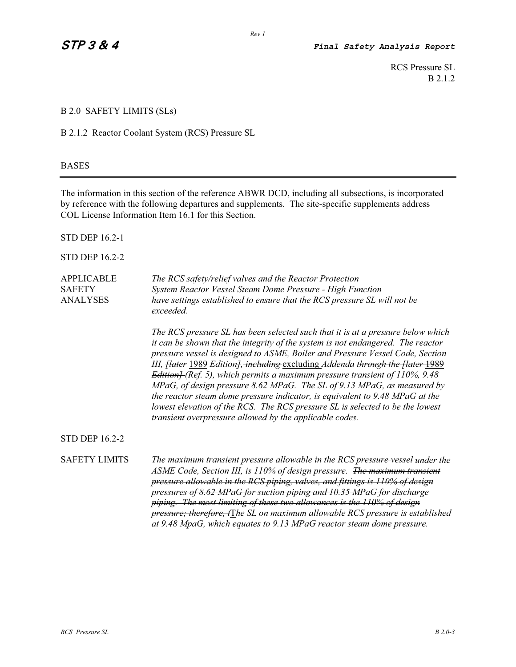RCS Pressure SL B 2.1.2

# B 2.0 SAFETY LIMITS (SLs)

B 2.1.2 Reactor Coolant System (RCS) Pressure SL

### BASES

The information in this section of the reference ABWR DCD, including all subsections, is incorporated by reference with the following departures and supplements. The site-specific supplements address COL License Information Item 16.1 for this Section.

STD DEP 16.2-1

STD DEP 16.2-2

| <b>APPLICABLE</b> | The RCS safety/relief valves and the Reactor Protection                               |
|-------------------|---------------------------------------------------------------------------------------|
| <b>SAFETY</b>     | System Reactor Vessel Steam Dome Pressure - High Function                             |
| <b>ANALYSES</b>   | have settings established to ensure that the RCS pressure SL will not be<br>exceeded. |

*The RCS pressure SL has been selected such that it is at a pressure below which it can be shown that the integrity of the system is not endangered. The reactor pressure vessel is designed to ASME, Boiler and Pressure Vessel Code, Section III, [later* 1989 *Edition], including* excluding *Addenda through the [later* 1989 *Edition] (Ref. 5), which permits a maximum pressure transient of 110%, 9.48 MPaG, of design pressure 8.62 MPaG. The SL of 9.13 MPaG, as measured by the reactor steam dome pressure indicator, is equivalent to 9.48 MPaG at the lowest elevation of the RCS. The RCS pressure SL is selected to be the lowest transient overpressure allowed by the applicable codes.* 

STD DEP 16.2-2

SAFETY LIMITS *The maximum transient pressure allowable in the RCS pressure vessel under the ASME Code, Section III, is 110% of design pressure. The maximum transient pressure allowable in the RCS piping, valves, and fittings is 110% of design pressures of 8.62 MPaG for suction piping and 10.35 MPaG for discharge piping. The most limiting of these two allowances is the 110% of design pressure; therefore, t*T*he SL on maximum allowable RCS pressure is established at 9.48 MpaG, which equates to 9.13 MPaG reactor steam dome pressure.*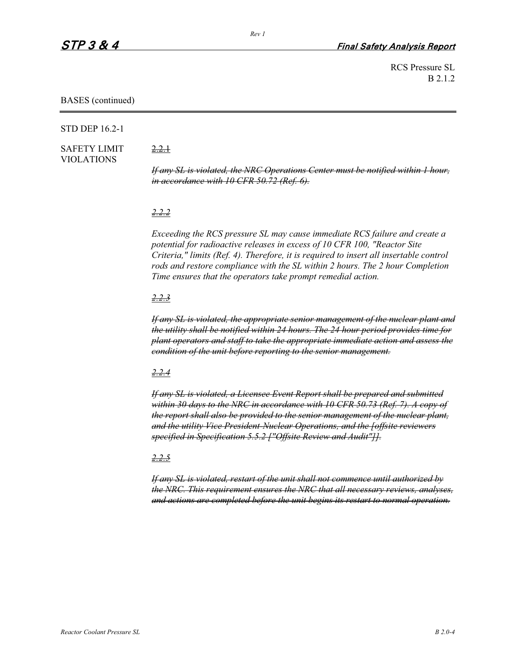RCS Pressure SL B 2.1.2

#### BASES (continued)

#### STD DEP 16.2-1

# SAFETY LIMIT 2.2.1 VIOLATIONS

*If any SL is violated, the NRC Operations Center must be notified within 1 hour, in accordance with 10 CFR 50.72 (Ref. 6).*

#### *2.2.2*

*Exceeding the RCS pressure SL may cause immediate RCS failure and create a potential for radioactive releases in excess of 10 CFR 100, "Reactor Site Criteria," limits (Ref. 4). Therefore, it is required to insert all insertable control rods and restore compliance with the SL within 2 hours. The 2 hour Completion Time ensures that the operators take prompt remedial action.* 

#### *2.2.3*

*If any SL is violated, the appropriate senior management of the nuclear plant and the utility shall be notified within 24 hours. The 24 hour period provides time for plant operators and staff to take the appropriate immediate action and assess the condition of the unit before reporting to the senior management.*

#### *2.2.4*

*If any SL is violated, a Licensee Event Report shall be prepared and submitted within 30 days to the NRC in accordance with 10 CFR 50.73 (Ref. 7). A copy of the report shall also be provided to the senior management of the nuclear plant, and the utility Vice President-Nuclear Operations, and the [offsite reviewers specified in Specification 5.5.2 ["Offsite Review and Audit"]].*

### *2.2.5*

*If any SL is violated, restart of the unit shall not commence until authorized by the NRC. This requirement ensures the NRC that all necessary reviews, analyses, and actions are completed before the unit begins its restart to normal operation.*